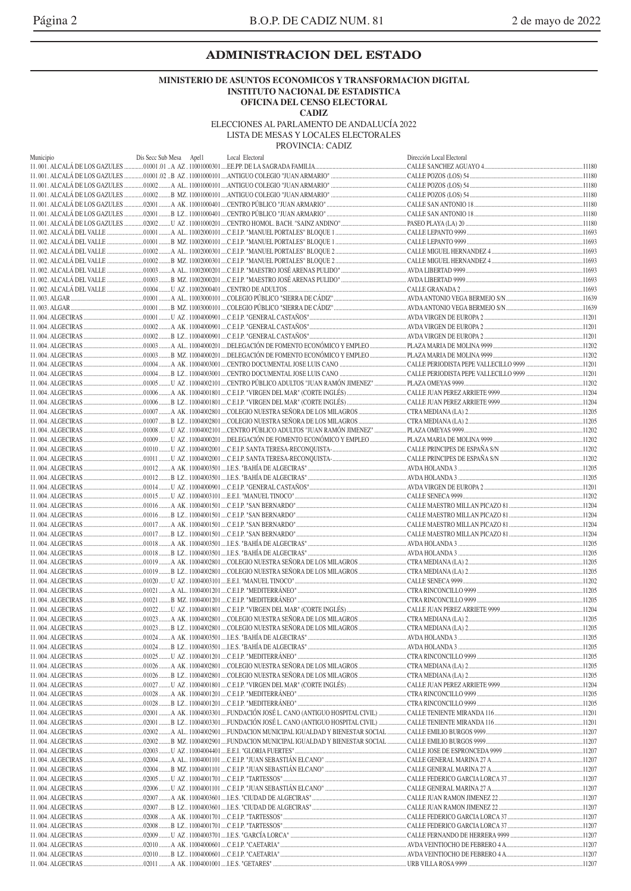### **ADMINISTRACION DEL ESTADO**

#### **MINISTERIO DE ASUNTOS ECONOMICOS Y TRANSFORMACION DIGITAL INSTITUTO NACIONAL DE ESTADISTICA OFICINA DEL CENSO ELECTORAL**

**CADIZ**

ELECCIONES AL PARLAMENTO DE ANDALUCÍA 2022

LISTA DE MESAS Y LOCALES ELECTORALES

PROVINCIA: CADIZ

| Municipio | Dis Secc Sub Mesa Apell | Local Electoral                                                                                                                      | Dirección Local Electoral |        |
|-----------|-------------------------|--------------------------------------------------------------------------------------------------------------------------------------|---------------------------|--------|
|           |                         |                                                                                                                                      |                           |        |
|           |                         |                                                                                                                                      |                           |        |
|           |                         |                                                                                                                                      |                           |        |
|           |                         |                                                                                                                                      |                           |        |
|           |                         |                                                                                                                                      |                           |        |
|           |                         |                                                                                                                                      |                           |        |
|           |                         |                                                                                                                                      |                           |        |
|           |                         |                                                                                                                                      |                           |        |
|           |                         |                                                                                                                                      |                           |        |
|           |                         |                                                                                                                                      |                           |        |
|           |                         |                                                                                                                                      |                           |        |
|           |                         |                                                                                                                                      |                           |        |
|           |                         |                                                                                                                                      |                           |        |
|           |                         |                                                                                                                                      |                           |        |
|           |                         |                                                                                                                                      |                           |        |
|           |                         |                                                                                                                                      |                           |        |
|           |                         |                                                                                                                                      |                           |        |
|           |                         |                                                                                                                                      |                           |        |
|           |                         |                                                                                                                                      |                           |        |
|           |                         |                                                                                                                                      |                           |        |
|           |                         |                                                                                                                                      |                           |        |
|           |                         |                                                                                                                                      |                           |        |
|           |                         |                                                                                                                                      |                           |        |
|           |                         |                                                                                                                                      |                           |        |
|           |                         |                                                                                                                                      |                           |        |
|           |                         |                                                                                                                                      |                           |        |
|           |                         |                                                                                                                                      |                           |        |
|           |                         |                                                                                                                                      |                           |        |
|           |                         |                                                                                                                                      |                           |        |
|           |                         |                                                                                                                                      |                           |        |
|           |                         |                                                                                                                                      |                           |        |
|           |                         |                                                                                                                                      |                           |        |
|           |                         |                                                                                                                                      |                           |        |
|           |                         |                                                                                                                                      |                           |        |
|           |                         |                                                                                                                                      |                           |        |
|           |                         |                                                                                                                                      |                           |        |
|           |                         |                                                                                                                                      |                           |        |
|           |                         |                                                                                                                                      |                           |        |
|           |                         |                                                                                                                                      |                           |        |
|           |                         |                                                                                                                                      |                           |        |
|           |                         |                                                                                                                                      |                           |        |
|           |                         |                                                                                                                                      |                           |        |
|           |                         |                                                                                                                                      |                           |        |
|           |                         |                                                                                                                                      |                           |        |
|           |                         |                                                                                                                                      |                           |        |
|           |                         | 01023 B LZ 11004002801 COLEGIO NUESTRA SEÑORA DE LOS MILAGROS                                                                        |                           | .11205 |
|           |                         |                                                                                                                                      |                           |        |
|           |                         |                                                                                                                                      |                           |        |
|           |                         |                                                                                                                                      |                           |        |
|           |                         |                                                                                                                                      |                           |        |
|           |                         |                                                                                                                                      |                           |        |
|           |                         |                                                                                                                                      |                           |        |
|           |                         |                                                                                                                                      |                           |        |
|           |                         |                                                                                                                                      |                           |        |
|           |                         |                                                                                                                                      |                           |        |
|           |                         |                                                                                                                                      |                           |        |
|           |                         | …02002 ……B MZ. 11004002901 ….FUNDACION MUNICIPAL IGUALDAD Y BIENESTAR SOCIAL ………….CALLE EMILIO BURGOS 9999 ……………………………………………………11207 |                           |        |
|           |                         |                                                                                                                                      |                           |        |
|           |                         |                                                                                                                                      |                           |        |
|           |                         |                                                                                                                                      |                           |        |
|           |                         |                                                                                                                                      |                           |        |
|           |                         |                                                                                                                                      |                           |        |
|           |                         |                                                                                                                                      |                           |        |
|           |                         |                                                                                                                                      |                           |        |
|           |                         |                                                                                                                                      |                           |        |
|           |                         |                                                                                                                                      |                           |        |
|           |                         |                                                                                                                                      |                           |        |
|           |                         |                                                                                                                                      |                           |        |
|           |                         |                                                                                                                                      |                           |        |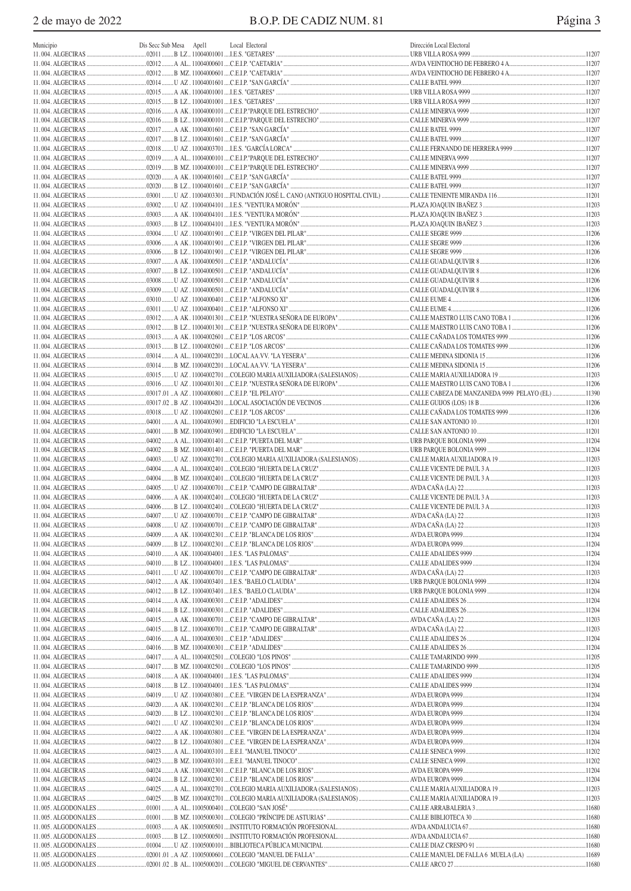| Municipio | Dis Secc Sub Mesa Apel1 | Local Electoral | Dirección Local Electoral |  |
|-----------|-------------------------|-----------------|---------------------------|--|
|           |                         |                 |                           |  |
|           |                         |                 |                           |  |
|           |                         |                 |                           |  |
|           |                         |                 |                           |  |
|           |                         |                 |                           |  |
|           |                         |                 |                           |  |
|           |                         |                 |                           |  |
|           |                         |                 |                           |  |
|           |                         |                 |                           |  |
|           |                         |                 |                           |  |
|           |                         |                 |                           |  |
|           |                         |                 |                           |  |
|           |                         |                 |                           |  |
|           |                         |                 |                           |  |
|           |                         |                 |                           |  |
|           |                         |                 |                           |  |
|           |                         |                 |                           |  |
|           |                         |                 |                           |  |
|           |                         |                 |                           |  |
|           |                         |                 |                           |  |
|           |                         |                 |                           |  |
|           |                         |                 |                           |  |
|           |                         |                 |                           |  |
|           |                         |                 |                           |  |
|           |                         |                 |                           |  |
|           |                         |                 |                           |  |
|           |                         |                 |                           |  |
|           |                         |                 |                           |  |
|           |                         |                 |                           |  |
|           |                         |                 |                           |  |
|           |                         |                 |                           |  |
|           |                         |                 |                           |  |
|           |                         |                 |                           |  |
|           |                         |                 |                           |  |
|           |                         |                 |                           |  |
|           |                         |                 |                           |  |
|           |                         |                 |                           |  |
|           |                         |                 |                           |  |
|           |                         |                 |                           |  |
|           |                         |                 |                           |  |
|           |                         |                 |                           |  |
|           |                         |                 |                           |  |
|           |                         |                 |                           |  |
|           |                         |                 |                           |  |
|           |                         |                 |                           |  |
|           |                         |                 |                           |  |
|           |                         |                 |                           |  |
|           |                         |                 |                           |  |
|           |                         |                 |                           |  |
|           |                         |                 |                           |  |
|           |                         |                 |                           |  |
|           |                         |                 |                           |  |
|           |                         |                 |                           |  |
|           |                         |                 |                           |  |
|           |                         |                 |                           |  |
|           |                         |                 |                           |  |
|           |                         |                 |                           |  |
|           |                         |                 |                           |  |
|           |                         |                 |                           |  |
|           |                         |                 |                           |  |
|           |                         |                 |                           |  |
|           |                         |                 |                           |  |
|           |                         |                 |                           |  |
|           |                         |                 |                           |  |
|           |                         |                 |                           |  |
|           |                         |                 |                           |  |
|           |                         |                 |                           |  |
|           |                         |                 |                           |  |
|           |                         |                 |                           |  |
|           |                         |                 |                           |  |
|           |                         |                 |                           |  |
|           |                         |                 |                           |  |
|           |                         |                 |                           |  |
|           |                         |                 |                           |  |
|           |                         |                 |                           |  |
|           |                         |                 |                           |  |
|           |                         |                 |                           |  |
|           |                         |                 |                           |  |
|           |                         |                 |                           |  |
|           |                         |                 |                           |  |
|           |                         |                 |                           |  |
|           |                         |                 |                           |  |
|           |                         |                 |                           |  |
|           |                         |                 |                           |  |
|           |                         |                 |                           |  |
|           |                         |                 |                           |  |
|           |                         |                 |                           |  |
|           |                         |                 |                           |  |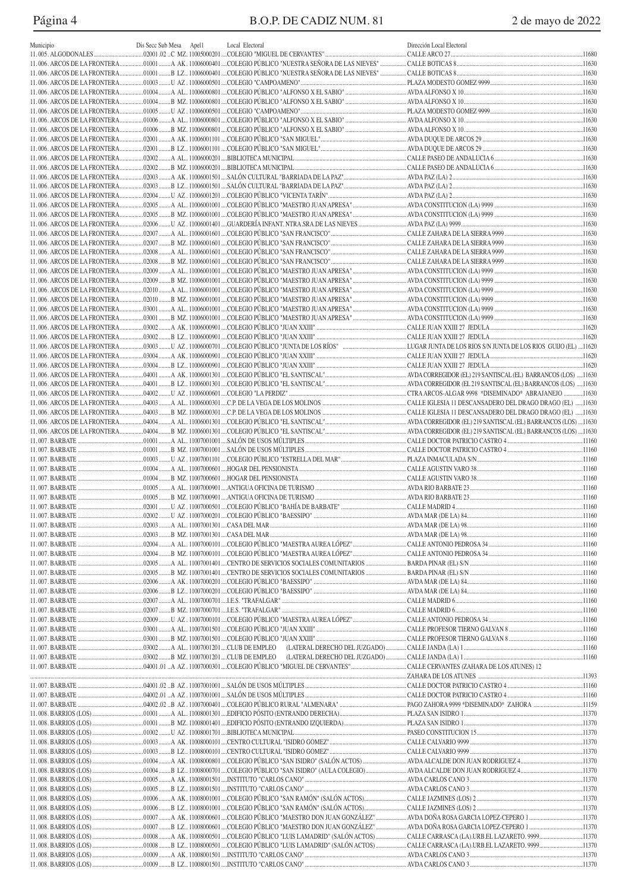Página 4 B.O.P. DE CADIZ NUM. 81 2 de mayo de 2022

| Municipio | Dis Secc Sub Mesa | Apel1 | Local Electoral | Dirección Local Electoral |  |
|-----------|-------------------|-------|-----------------|---------------------------|--|
|           |                   |       |                 |                           |  |
|           |                   |       |                 |                           |  |
|           |                   |       |                 |                           |  |
|           |                   |       |                 |                           |  |
|           |                   |       |                 |                           |  |
|           |                   |       |                 |                           |  |
|           |                   |       |                 |                           |  |
|           |                   |       |                 |                           |  |
|           |                   |       |                 |                           |  |
|           |                   |       |                 |                           |  |
|           |                   |       |                 |                           |  |
|           |                   |       |                 |                           |  |
|           |                   |       |                 |                           |  |
|           |                   |       |                 |                           |  |
|           |                   |       |                 |                           |  |
|           |                   |       |                 |                           |  |
|           |                   |       |                 |                           |  |
|           |                   |       |                 |                           |  |
|           |                   |       |                 |                           |  |
|           |                   |       |                 |                           |  |
|           |                   |       |                 |                           |  |
|           |                   |       |                 |                           |  |
|           |                   |       |                 |                           |  |
|           |                   |       |                 |                           |  |
|           |                   |       |                 |                           |  |
|           |                   |       |                 |                           |  |
|           |                   |       |                 |                           |  |
|           |                   |       |                 |                           |  |
|           |                   |       |                 |                           |  |
|           |                   |       |                 |                           |  |
|           |                   |       |                 |                           |  |
|           |                   |       |                 |                           |  |
|           |                   |       |                 |                           |  |
|           |                   |       |                 |                           |  |
|           |                   |       |                 |                           |  |
|           |                   |       |                 |                           |  |
|           |                   |       |                 |                           |  |
|           |                   |       |                 |                           |  |
|           |                   |       |                 |                           |  |
|           |                   |       |                 |                           |  |
|           |                   |       |                 |                           |  |
|           |                   |       |                 |                           |  |
|           |                   |       |                 |                           |  |
|           |                   |       |                 |                           |  |
|           |                   |       |                 |                           |  |
|           |                   |       |                 |                           |  |
|           |                   |       |                 |                           |  |
|           |                   |       |                 |                           |  |
|           |                   |       |                 |                           |  |
|           |                   |       |                 |                           |  |
|           |                   |       |                 |                           |  |
|           |                   |       |                 |                           |  |
|           |                   |       |                 |                           |  |
|           |                   |       |                 |                           |  |
|           |                   |       |                 |                           |  |
|           |                   |       |                 |                           |  |
|           |                   |       |                 |                           |  |
|           |                   |       |                 |                           |  |
|           |                   |       |                 |                           |  |
|           |                   |       |                 |                           |  |
|           |                   |       |                 |                           |  |
|           |                   |       |                 |                           |  |
|           |                   |       |                 |                           |  |
|           |                   |       |                 |                           |  |
|           |                   |       |                 |                           |  |
|           |                   |       |                 |                           |  |
|           |                   |       |                 |                           |  |
|           |                   |       |                 |                           |  |
|           |                   |       |                 |                           |  |
|           |                   |       |                 |                           |  |
|           |                   |       |                 |                           |  |
|           |                   |       |                 |                           |  |
|           |                   |       |                 |                           |  |
|           |                   |       |                 |                           |  |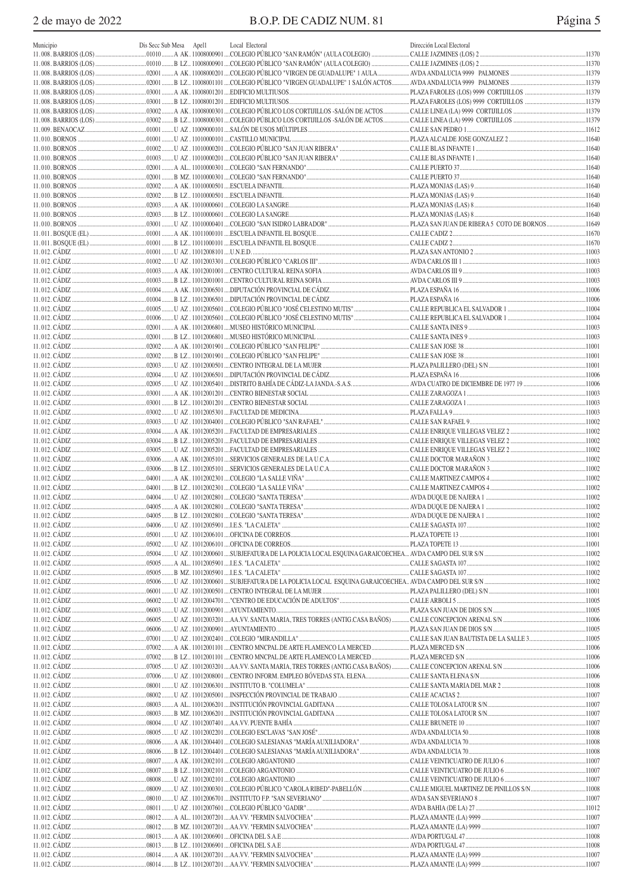| Municipio              | Dis Secc Sub Mesa Apell | Local Electoral | Dirección Local Electoral |        |
|------------------------|-------------------------|-----------------|---------------------------|--------|
|                        |                         |                 |                           |        |
| 11.008. BARRIOS (LOS). |                         |                 |                           |        |
|                        |                         |                 |                           |        |
|                        |                         |                 |                           |        |
|                        |                         |                 |                           |        |
|                        |                         |                 |                           |        |
|                        |                         |                 |                           |        |
|                        |                         |                 |                           |        |
|                        |                         |                 |                           |        |
|                        |                         |                 |                           |        |
|                        |                         |                 |                           |        |
|                        |                         |                 |                           |        |
|                        |                         |                 |                           |        |
|                        |                         |                 |                           |        |
|                        |                         |                 |                           |        |
|                        |                         |                 |                           |        |
|                        |                         |                 |                           |        |
|                        |                         |                 |                           |        |
|                        |                         |                 |                           |        |
|                        |                         |                 |                           |        |
|                        |                         |                 |                           |        |
|                        |                         |                 |                           |        |
|                        |                         |                 |                           |        |
|                        |                         |                 |                           |        |
|                        |                         |                 |                           | .11006 |
|                        |                         |                 |                           |        |
|                        |                         |                 |                           | .11004 |
|                        |                         |                 |                           |        |
|                        |                         |                 |                           |        |
|                        |                         |                 |                           |        |
|                        |                         |                 |                           |        |
|                        |                         |                 |                           |        |
|                        |                         |                 |                           |        |
|                        |                         |                 |                           |        |
|                        |                         |                 |                           |        |
|                        |                         |                 |                           |        |
|                        |                         |                 |                           |        |
|                        |                         |                 |                           |        |
|                        |                         |                 |                           |        |
|                        |                         |                 |                           |        |
|                        |                         |                 |                           |        |
|                        |                         |                 |                           |        |
|                        |                         |                 |                           |        |
|                        |                         |                 |                           |        |
|                        |                         |                 |                           |        |
|                        |                         |                 |                           |        |
|                        |                         |                 |                           |        |
|                        |                         |                 |                           |        |
|                        |                         |                 |                           |        |
|                        |                         |                 |                           |        |
|                        |                         |                 |                           |        |
|                        |                         |                 |                           |        |
|                        |                         |                 |                           |        |
|                        |                         |                 |                           |        |
|                        |                         |                 |                           |        |
|                        |                         |                 |                           |        |
|                        |                         |                 |                           |        |
|                        |                         |                 |                           |        |
|                        |                         |                 |                           |        |
|                        |                         |                 |                           |        |
|                        |                         |                 |                           |        |
|                        |                         |                 |                           |        |
|                        |                         |                 |                           |        |
|                        |                         |                 |                           |        |
|                        |                         |                 |                           |        |
|                        |                         |                 |                           |        |
|                        |                         |                 |                           |        |
|                        |                         |                 |                           |        |
|                        |                         |                 |                           |        |
|                        |                         |                 |                           |        |
|                        |                         |                 |                           |        |
|                        |                         |                 |                           |        |
|                        |                         |                 |                           |        |
|                        |                         |                 |                           |        |
|                        |                         |                 |                           |        |
|                        |                         |                 |                           |        |
|                        |                         |                 |                           |        |
|                        |                         |                 |                           |        |
|                        |                         |                 |                           |        |
|                        |                         |                 |                           |        |
|                        |                         |                 |                           |        |
|                        |                         |                 |                           |        |
|                        |                         |                 |                           |        |
|                        |                         |                 |                           |        |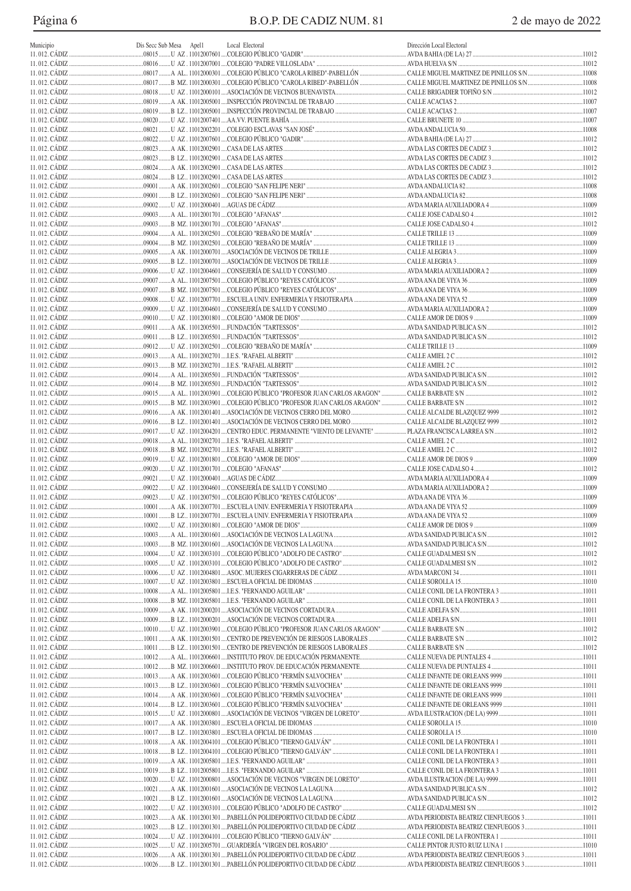Página 6

| Municipio | Dis Secc Sub Mesa Apel1 | Local Electoral | Dirección Local Electoral |  |
|-----------|-------------------------|-----------------|---------------------------|--|
|           |                         |                 |                           |  |
|           |                         |                 |                           |  |
|           |                         |                 |                           |  |
|           |                         |                 |                           |  |
|           |                         |                 |                           |  |
|           |                         |                 |                           |  |
|           |                         |                 |                           |  |
|           |                         |                 |                           |  |
|           |                         |                 |                           |  |
|           |                         |                 |                           |  |
|           |                         |                 |                           |  |
|           |                         |                 |                           |  |
|           |                         |                 |                           |  |
|           |                         |                 |                           |  |
|           |                         |                 |                           |  |
|           |                         |                 |                           |  |
|           |                         |                 |                           |  |
|           |                         |                 |                           |  |
|           |                         |                 |                           |  |
|           |                         |                 |                           |  |
|           |                         |                 |                           |  |
|           |                         |                 |                           |  |
|           |                         |                 |                           |  |
|           |                         |                 |                           |  |
|           |                         |                 |                           |  |
|           |                         |                 |                           |  |
|           |                         |                 |                           |  |
|           |                         |                 |                           |  |
|           |                         |                 |                           |  |
|           |                         |                 |                           |  |
|           |                         |                 |                           |  |
|           |                         |                 |                           |  |
|           |                         |                 |                           |  |
|           |                         |                 |                           |  |
|           |                         |                 |                           |  |
|           |                         |                 |                           |  |
|           |                         |                 |                           |  |
|           |                         |                 |                           |  |
|           |                         |                 |                           |  |
|           |                         |                 |                           |  |
|           |                         |                 |                           |  |
|           |                         |                 |                           |  |
|           |                         |                 |                           |  |
|           |                         |                 |                           |  |
|           |                         |                 |                           |  |
|           |                         |                 |                           |  |
|           |                         |                 |                           |  |
|           |                         |                 |                           |  |
|           |                         |                 |                           |  |
|           |                         |                 |                           |  |
|           |                         |                 |                           |  |
|           |                         |                 |                           |  |
|           |                         |                 |                           |  |
|           |                         |                 |                           |  |
|           |                         |                 |                           |  |
|           |                         |                 |                           |  |
|           |                         |                 |                           |  |
|           |                         |                 |                           |  |
|           |                         |                 |                           |  |
|           |                         |                 |                           |  |
|           |                         |                 |                           |  |
|           |                         |                 |                           |  |
|           |                         |                 |                           |  |
|           |                         |                 |                           |  |
|           |                         |                 |                           |  |
|           |                         |                 |                           |  |
|           |                         |                 |                           |  |
|           |                         |                 |                           |  |
|           |                         |                 |                           |  |
|           |                         |                 |                           |  |
|           |                         |                 |                           |  |
|           |                         |                 |                           |  |
|           |                         |                 |                           |  |
|           |                         |                 |                           |  |
|           |                         |                 |                           |  |
|           |                         |                 |                           |  |
|           |                         |                 |                           |  |
|           |                         |                 |                           |  |
|           |                         |                 |                           |  |
|           |                         |                 |                           |  |
|           |                         |                 |                           |  |
|           |                         |                 |                           |  |
|           |                         |                 |                           |  |
|           |                         |                 |                           |  |
|           |                         |                 |                           |  |
|           |                         |                 |                           |  |
|           |                         |                 |                           |  |
|           |                         |                 |                           |  |
|           |                         |                 |                           |  |
|           |                         |                 |                           |  |
|           |                         |                 |                           |  |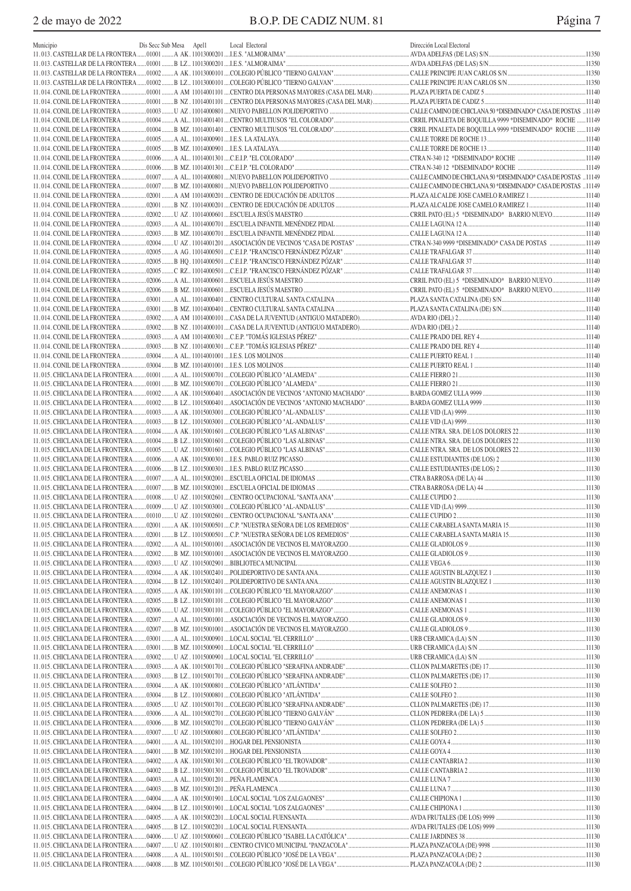| Municipio | Dis Secc Sub Mesa Apel1 | Local Electoral | Dirección Local Electoral |  |
|-----------|-------------------------|-----------------|---------------------------|--|
|           |                         |                 |                           |  |
|           |                         |                 |                           |  |
|           |                         |                 |                           |  |
|           |                         |                 |                           |  |
|           |                         |                 |                           |  |
|           |                         |                 |                           |  |
|           |                         |                 |                           |  |
|           |                         |                 |                           |  |
|           |                         |                 |                           |  |
|           |                         |                 |                           |  |
|           |                         |                 |                           |  |
|           |                         |                 |                           |  |
|           |                         |                 |                           |  |
|           |                         |                 |                           |  |
|           |                         |                 |                           |  |
|           |                         |                 |                           |  |
|           |                         |                 |                           |  |
|           |                         |                 |                           |  |
|           |                         |                 |                           |  |
|           |                         |                 |                           |  |
|           |                         |                 |                           |  |
|           |                         |                 |                           |  |
|           |                         |                 |                           |  |
|           |                         |                 |                           |  |
|           |                         |                 |                           |  |
|           |                         |                 |                           |  |
|           |                         |                 |                           |  |
|           |                         |                 |                           |  |
|           |                         |                 |                           |  |
|           |                         |                 |                           |  |
|           |                         |                 |                           |  |
|           |                         |                 |                           |  |
|           |                         |                 |                           |  |
|           |                         |                 |                           |  |
|           |                         |                 |                           |  |
|           |                         |                 |                           |  |
|           |                         |                 |                           |  |
|           |                         |                 |                           |  |
|           |                         |                 |                           |  |
|           |                         |                 |                           |  |
|           |                         |                 |                           |  |
|           |                         |                 |                           |  |
|           |                         |                 |                           |  |
|           |                         |                 |                           |  |
|           |                         |                 |                           |  |
|           |                         |                 |                           |  |
|           |                         |                 |                           |  |
|           |                         |                 |                           |  |
|           |                         |                 |                           |  |
|           |                         |                 |                           |  |
|           |                         |                 |                           |  |
|           |                         |                 |                           |  |
|           |                         |                 |                           |  |
|           |                         |                 |                           |  |
|           |                         |                 |                           |  |
|           |                         |                 |                           |  |
|           |                         |                 |                           |  |
|           |                         |                 |                           |  |
|           |                         |                 |                           |  |
|           |                         |                 |                           |  |
|           |                         |                 |                           |  |
|           |                         |                 |                           |  |
|           |                         |                 |                           |  |
|           |                         |                 |                           |  |
|           |                         |                 |                           |  |
|           |                         |                 |                           |  |
|           |                         |                 |                           |  |
|           |                         |                 |                           |  |
|           |                         |                 |                           |  |
|           |                         |                 |                           |  |
|           |                         |                 |                           |  |
|           |                         |                 |                           |  |
|           |                         |                 |                           |  |
|           |                         |                 |                           |  |
|           |                         |                 |                           |  |
|           |                         |                 |                           |  |
|           |                         |                 |                           |  |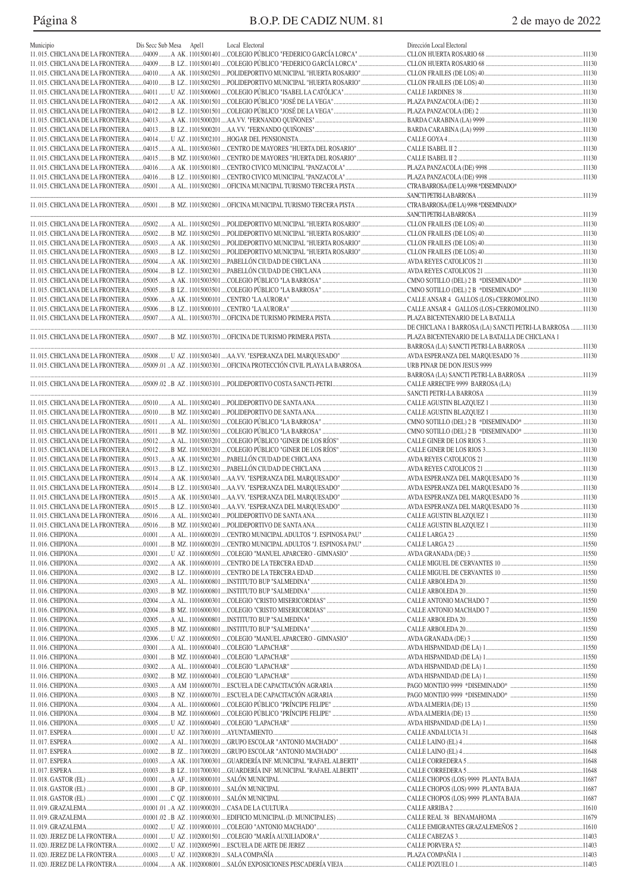# Página 8 B.O.P. DE CADIZ NUM. 81 2 de mayo de 2022

|           |                         |                 | Dirección Local Electoral |  |
|-----------|-------------------------|-----------------|---------------------------|--|
| Municipio | Dis Secc Sub Mesa Apell | Local Electoral |                           |  |
|           |                         |                 |                           |  |
|           |                         |                 |                           |  |
|           |                         |                 |                           |  |
|           |                         |                 |                           |  |
|           |                         |                 |                           |  |
|           |                         |                 |                           |  |
|           |                         |                 |                           |  |
|           |                         |                 |                           |  |
|           |                         |                 |                           |  |
|           |                         |                 |                           |  |
|           |                         |                 |                           |  |
|           |                         |                 |                           |  |
|           |                         |                 |                           |  |
|           |                         |                 |                           |  |
|           |                         |                 |                           |  |
|           |                         |                 |                           |  |
|           |                         |                 |                           |  |
|           |                         |                 |                           |  |
|           |                         |                 |                           |  |
|           |                         |                 |                           |  |
|           |                         |                 |                           |  |
|           |                         |                 |                           |  |
|           |                         |                 |                           |  |
|           |                         |                 |                           |  |
|           |                         |                 |                           |  |
|           |                         |                 |                           |  |
|           |                         |                 |                           |  |
|           |                         |                 |                           |  |
|           |                         |                 |                           |  |
|           |                         |                 |                           |  |
|           |                         |                 |                           |  |
|           |                         |                 |                           |  |
|           |                         |                 |                           |  |
|           |                         |                 |                           |  |
|           |                         |                 |                           |  |
|           |                         |                 |                           |  |
|           |                         |                 |                           |  |
|           |                         |                 |                           |  |
|           |                         |                 |                           |  |
|           |                         |                 |                           |  |
|           |                         |                 |                           |  |
|           |                         |                 |                           |  |
|           |                         |                 |                           |  |
|           |                         |                 |                           |  |
|           |                         |                 |                           |  |
|           |                         |                 |                           |  |
|           |                         |                 |                           |  |
|           |                         |                 |                           |  |
|           |                         |                 |                           |  |
|           |                         |                 |                           |  |
|           |                         |                 |                           |  |
|           |                         |                 |                           |  |
|           |                         |                 |                           |  |
|           |                         |                 |                           |  |
|           |                         |                 |                           |  |
|           |                         |                 |                           |  |
|           |                         |                 |                           |  |
|           |                         |                 |                           |  |
|           |                         |                 |                           |  |
|           |                         |                 |                           |  |
|           |                         |                 |                           |  |
|           |                         |                 |                           |  |
|           |                         |                 |                           |  |
|           |                         |                 |                           |  |
|           |                         |                 |                           |  |
|           |                         |                 |                           |  |
|           |                         |                 |                           |  |
|           |                         |                 |                           |  |
|           |                         |                 |                           |  |
|           |                         |                 |                           |  |
|           |                         |                 |                           |  |
|           |                         |                 |                           |  |
|           |                         |                 |                           |  |
|           |                         |                 |                           |  |
|           |                         |                 |                           |  |
|           |                         |                 |                           |  |
|           |                         |                 |                           |  |
|           |                         |                 |                           |  |
|           |                         |                 |                           |  |
|           |                         |                 |                           |  |
|           |                         |                 |                           |  |
|           |                         |                 |                           |  |
|           |                         |                 |                           |  |
|           |                         |                 |                           |  |
|           |                         |                 |                           |  |
|           |                         |                 |                           |  |
|           |                         |                 |                           |  |
|           |                         |                 |                           |  |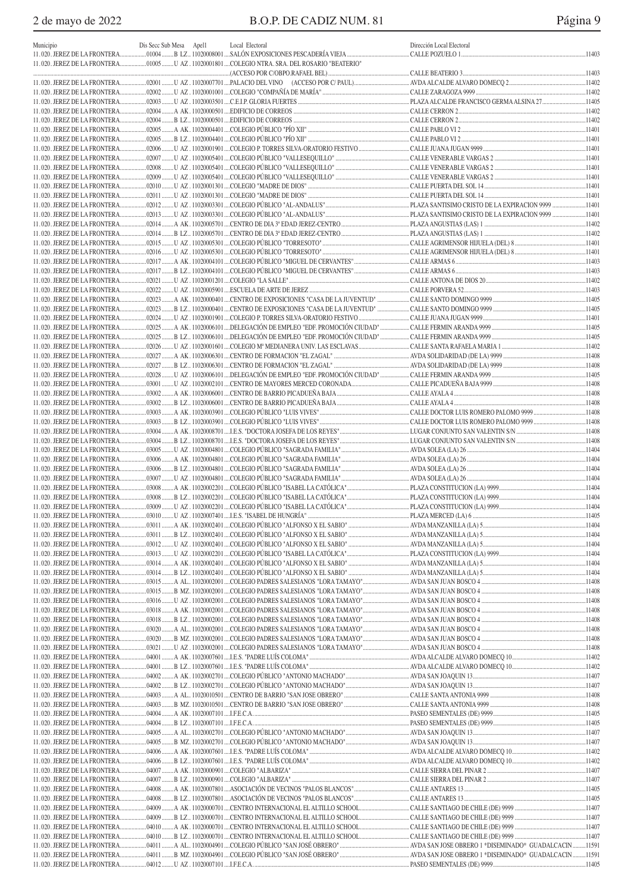| Municipio                                                    | Dis Secc Sub Mesa Apell |  | Local Electoral                                                                             | Dirección Local Electoral |       |
|--------------------------------------------------------------|-------------------------|--|---------------------------------------------------------------------------------------------|---------------------------|-------|
|                                                              |                         |  |                                                                                             |                           |       |
|                                                              |                         |  | 11.020. JEREZ DE LA FRONTERA01005 U AZ.11020001801COLEGIO NTRA. SRA. DEL ROSARIO "BEATERIO" |                           |       |
|                                                              |                         |  |                                                                                             |                           |       |
| 11.020. JEREZ DE LA FRONTERA                                 |                         |  |                                                                                             |                           |       |
| 11.020. JEREZ DE LA FRONTERA                                 |                         |  |                                                                                             |                           |       |
| 11.020. JEREZ DE LA FRONTERA<br>11.020. JEREZ DE LA FRONTERA |                         |  |                                                                                             |                           |       |
| 11.020. JEREZ DE LA FRONTERA                                 |                         |  |                                                                                             |                           |       |
| 11.020. JEREZ DE LA FRONTERA                                 |                         |  |                                                                                             |                           |       |
| 11.020. JEREZ DE LA FRONTERA                                 |                         |  |                                                                                             |                           |       |
| 11.020. JEREZ DE LA FRONTERA                                 |                         |  |                                                                                             |                           |       |
| 11.020. JEREZ DE LA FRONTERA                                 |                         |  |                                                                                             |                           |       |
| 11.020. JEREZ DE LA FRONTERA                                 |                         |  |                                                                                             |                           |       |
|                                                              |                         |  |                                                                                             |                           |       |
|                                                              |                         |  |                                                                                             |                           |       |
|                                                              |                         |  |                                                                                             |                           |       |
|                                                              |                         |  |                                                                                             |                           |       |
|                                                              |                         |  |                                                                                             |                           |       |
| 11.020. JEREZ DE LA FRONTERA                                 |                         |  |                                                                                             |                           |       |
| 11.020. JEREZ DE LA FRONTERA                                 |                         |  |                                                                                             |                           |       |
| 11.020. JEREZ DE LA FRONTERA                                 |                         |  |                                                                                             |                           |       |
| 11.020. JEREZ DE LA FRONTERA                                 |                         |  |                                                                                             |                           |       |
| 11.020. JEREZ DE LA FRONTERA                                 |                         |  |                                                                                             |                           |       |
| 11.020. JEREZ DE LA FRONTERA                                 |                         |  |                                                                                             |                           |       |
| 11.020. JEREZ DE LA FRONTERA                                 |                         |  |                                                                                             |                           |       |
| 11.020. JEREZ DE LA FRONTERA                                 |                         |  |                                                                                             |                           |       |
| 11.020. JEREZ DE LA FRONTERA                                 |                         |  |                                                                                             |                           |       |
|                                                              |                         |  |                                                                                             |                           |       |
|                                                              |                         |  |                                                                                             |                           |       |
| 11.020. JEREZ DE LA FRONTERA                                 |                         |  |                                                                                             |                           |       |
| 11.020. JEREZ DE LA FRONTERA                                 |                         |  |                                                                                             |                           |       |
| 11.020. JEREZ DE LA FRONTERA                                 |                         |  |                                                                                             |                           |       |
| 11.020. JEREZ DE LA FRONTERA                                 |                         |  |                                                                                             |                           |       |
| 11.020. JEREZ DE LA FRONTERA                                 |                         |  |                                                                                             |                           |       |
| 11.020. JEREZ DE LA FRONTERA                                 |                         |  |                                                                                             |                           |       |
| 11.020. JEREZ DE LA FRONTERA                                 |                         |  |                                                                                             |                           |       |
| 11.020. JEREZ DE LA FRONTERA                                 |                         |  |                                                                                             |                           |       |
| 11.020. JEREZ DE LA FRONTERA<br>11.020. JEREZ DE LA FRONTERA |                         |  |                                                                                             |                           |       |
| 11.020. JEREZ DE LA FRONTERA                                 |                         |  |                                                                                             |                           |       |
| 11.020. JEREZ DE LA FRONTERA                                 |                         |  |                                                                                             |                           |       |
| 11.020. JEREZ DE LA FRONTERA                                 |                         |  |                                                                                             |                           |       |
|                                                              |                         |  |                                                                                             |                           |       |
|                                                              |                         |  |                                                                                             |                           |       |
|                                                              |                         |  |                                                                                             |                           |       |
|                                                              |                         |  |                                                                                             |                           |       |
| 11.020. JEREZ DE LA FRONTERA.                                |                         |  |                                                                                             |                           | 11404 |
|                                                              |                         |  |                                                                                             |                           |       |
|                                                              |                         |  |                                                                                             |                           |       |
|                                                              |                         |  |                                                                                             |                           |       |
|                                                              |                         |  |                                                                                             |                           |       |
|                                                              |                         |  |                                                                                             |                           |       |
|                                                              |                         |  |                                                                                             |                           |       |
| 11.020. JEREZ DE LA FRONTERA                                 |                         |  |                                                                                             |                           |       |
| 11.020. JEREZ DE LA FRONTERA                                 |                         |  |                                                                                             |                           |       |
| 11.020. JEREZ DE LA FRONTERA                                 |                         |  |                                                                                             |                           |       |
|                                                              |                         |  |                                                                                             |                           |       |
|                                                              |                         |  |                                                                                             |                           |       |
|                                                              |                         |  |                                                                                             |                           |       |
|                                                              |                         |  |                                                                                             |                           |       |
|                                                              |                         |  |                                                                                             |                           |       |
|                                                              |                         |  |                                                                                             |                           |       |
|                                                              |                         |  |                                                                                             |                           |       |
|                                                              |                         |  |                                                                                             |                           |       |
|                                                              |                         |  |                                                                                             |                           |       |
|                                                              |                         |  |                                                                                             |                           |       |
| 11.020. JEREZ DE LA FRONTERA                                 |                         |  |                                                                                             |                           |       |
| 11.020. JEREZ DE LA FRONTERA                                 |                         |  |                                                                                             |                           |       |
| 11.020. JEREZ DE LA FRONTERA                                 |                         |  |                                                                                             |                           |       |
| 11.020. JEREZ DE LA FRONTERA                                 |                         |  |                                                                                             |                           |       |
| 11.020. JEREZ DE LA FRONTERA                                 |                         |  |                                                                                             |                           |       |
|                                                              |                         |  |                                                                                             |                           |       |
|                                                              |                         |  |                                                                                             |                           |       |
|                                                              |                         |  |                                                                                             |                           |       |
|                                                              |                         |  |                                                                                             |                           |       |
|                                                              |                         |  |                                                                                             |                           |       |
|                                                              |                         |  |                                                                                             |                           |       |
|                                                              |                         |  |                                                                                             |                           |       |
|                                                              |                         |  |                                                                                             |                           |       |
|                                                              |                         |  |                                                                                             |                           |       |
|                                                              |                         |  |                                                                                             |                           |       |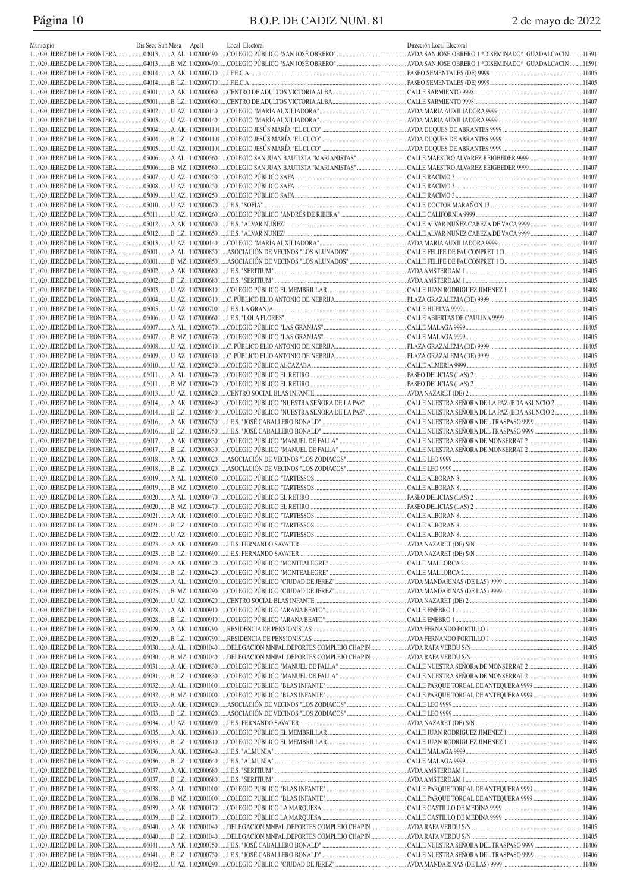# Página 10 B.O.P. DE CADIZ NUM. 81 2 de mayo de 2022

| Municipio | Dis Secc Sub Mesa Apell | Local Electoral | Dirección Local Electoral |  |
|-----------|-------------------------|-----------------|---------------------------|--|
|           |                         |                 |                           |  |
|           |                         |                 |                           |  |
|           |                         |                 |                           |  |
|           |                         |                 |                           |  |
|           |                         |                 |                           |  |
|           |                         |                 |                           |  |
|           |                         |                 |                           |  |
|           |                         |                 |                           |  |
|           |                         |                 |                           |  |
|           |                         |                 |                           |  |
|           |                         |                 |                           |  |
|           |                         |                 |                           |  |
|           |                         |                 |                           |  |
|           |                         |                 |                           |  |
|           |                         |                 |                           |  |
|           |                         |                 |                           |  |
|           |                         |                 |                           |  |
|           |                         |                 |                           |  |
|           |                         |                 |                           |  |
|           |                         |                 |                           |  |
|           |                         |                 |                           |  |
|           |                         |                 |                           |  |
|           |                         |                 |                           |  |
|           |                         |                 |                           |  |
|           |                         |                 |                           |  |
|           |                         |                 |                           |  |
|           |                         |                 |                           |  |
|           |                         |                 |                           |  |
|           |                         |                 |                           |  |
|           |                         |                 |                           |  |
|           |                         |                 |                           |  |
|           |                         |                 |                           |  |
|           |                         |                 |                           |  |
|           |                         |                 |                           |  |
|           |                         |                 |                           |  |
|           |                         |                 |                           |  |
|           |                         |                 |                           |  |
|           |                         |                 |                           |  |
|           |                         |                 |                           |  |
|           |                         |                 |                           |  |
|           |                         |                 |                           |  |
|           |                         |                 |                           |  |
|           |                         |                 |                           |  |
|           |                         |                 |                           |  |
|           |                         |                 |                           |  |
|           |                         |                 |                           |  |
|           |                         |                 |                           |  |
|           |                         |                 |                           |  |
|           |                         |                 |                           |  |
|           |                         |                 |                           |  |
|           |                         |                 |                           |  |
|           |                         |                 |                           |  |
|           |                         |                 |                           |  |
|           |                         |                 |                           |  |
|           |                         |                 |                           |  |
|           |                         |                 |                           |  |
|           |                         |                 |                           |  |
|           |                         |                 |                           |  |
|           |                         |                 |                           |  |
|           |                         |                 |                           |  |
|           |                         |                 |                           |  |
|           |                         |                 |                           |  |
|           |                         |                 |                           |  |
|           |                         |                 |                           |  |
|           |                         |                 |                           |  |
|           |                         |                 |                           |  |
|           |                         |                 |                           |  |
|           |                         |                 |                           |  |
|           |                         |                 |                           |  |
|           |                         |                 |                           |  |
|           |                         |                 |                           |  |
|           |                         |                 |                           |  |
|           |                         |                 |                           |  |
|           |                         |                 |                           |  |
|           |                         |                 |                           |  |
|           |                         |                 |                           |  |
|           |                         |                 |                           |  |
|           |                         |                 |                           |  |
|           |                         |                 |                           |  |
|           |                         |                 |                           |  |
|           |                         |                 |                           |  |
|           |                         |                 |                           |  |
|           |                         |                 |                           |  |
|           |                         |                 |                           |  |
|           |                         |                 |                           |  |
|           |                         |                 |                           |  |
|           |                         |                 |                           |  |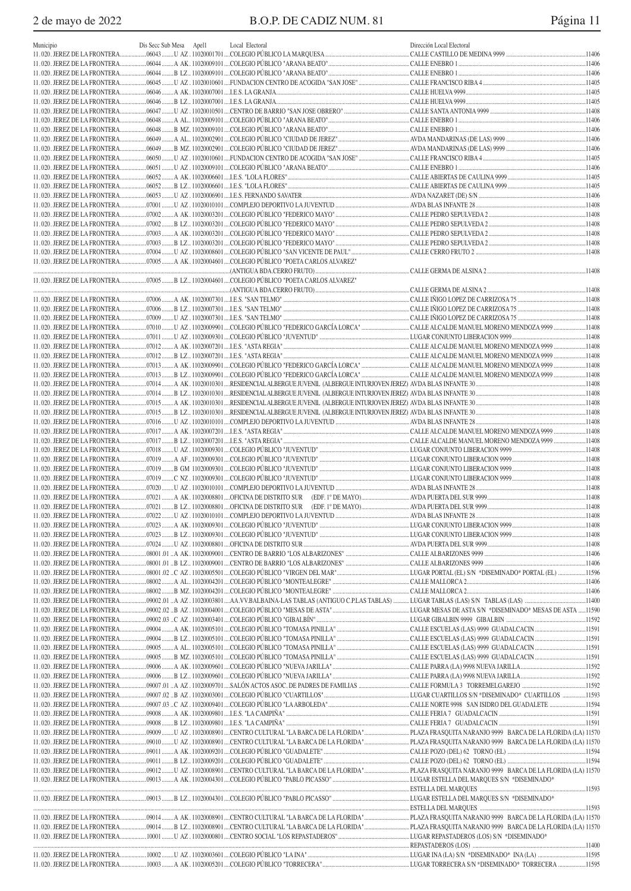| Municipio | Dis Secc Sub Mesa Apell | Local Electoral                                                                       | Dirección Local Electoral |  |
|-----------|-------------------------|---------------------------------------------------------------------------------------|---------------------------|--|
|           |                         |                                                                                       |                           |  |
|           |                         |                                                                                       |                           |  |
|           |                         |                                                                                       |                           |  |
|           |                         |                                                                                       |                           |  |
|           |                         |                                                                                       |                           |  |
|           |                         |                                                                                       |                           |  |
|           |                         |                                                                                       |                           |  |
|           |                         |                                                                                       |                           |  |
|           |                         |                                                                                       |                           |  |
|           |                         |                                                                                       |                           |  |
|           |                         |                                                                                       |                           |  |
|           |                         |                                                                                       |                           |  |
|           |                         |                                                                                       |                           |  |
|           |                         |                                                                                       |                           |  |
|           |                         |                                                                                       |                           |  |
|           |                         |                                                                                       |                           |  |
|           |                         |                                                                                       |                           |  |
|           |                         |                                                                                       |                           |  |
|           |                         |                                                                                       |                           |  |
|           |                         |                                                                                       |                           |  |
|           |                         |                                                                                       |                           |  |
|           |                         | 11.020. JEREZ DE LA FRONTERA 4 AK. 11020004601 COLEGIO PÚBLICO "POETA CARLOS ALVAREZ" |                           |  |
|           |                         |                                                                                       |                           |  |
|           |                         |                                                                                       |                           |  |
|           |                         |                                                                                       |                           |  |
|           |                         |                                                                                       |                           |  |
|           |                         |                                                                                       |                           |  |
|           |                         |                                                                                       |                           |  |
|           |                         |                                                                                       |                           |  |
|           |                         |                                                                                       |                           |  |
|           |                         |                                                                                       |                           |  |
|           |                         |                                                                                       |                           |  |
|           |                         |                                                                                       |                           |  |
|           |                         |                                                                                       |                           |  |
|           |                         |                                                                                       |                           |  |
|           |                         |                                                                                       |                           |  |
|           |                         |                                                                                       |                           |  |
|           |                         |                                                                                       |                           |  |
|           |                         |                                                                                       |                           |  |
|           |                         |                                                                                       |                           |  |
|           |                         |                                                                                       |                           |  |
|           |                         |                                                                                       |                           |  |
|           |                         |                                                                                       |                           |  |
|           |                         |                                                                                       |                           |  |
|           |                         |                                                                                       |                           |  |
|           |                         |                                                                                       |                           |  |
|           |                         |                                                                                       |                           |  |
|           |                         |                                                                                       |                           |  |
|           |                         |                                                                                       |                           |  |
|           |                         |                                                                                       |                           |  |
|           |                         |                                                                                       |                           |  |
|           |                         |                                                                                       |                           |  |
|           |                         |                                                                                       |                           |  |
|           |                         |                                                                                       |                           |  |
|           |                         |                                                                                       |                           |  |
|           |                         |                                                                                       |                           |  |
|           |                         |                                                                                       |                           |  |
|           |                         |                                                                                       |                           |  |
|           |                         |                                                                                       |                           |  |
|           |                         |                                                                                       |                           |  |
|           |                         |                                                                                       |                           |  |
|           |                         |                                                                                       |                           |  |
|           |                         |                                                                                       |                           |  |
|           |                         |                                                                                       |                           |  |
|           |                         |                                                                                       |                           |  |
|           |                         |                                                                                       |                           |  |
|           |                         |                                                                                       |                           |  |
|           |                         |                                                                                       |                           |  |
|           |                         |                                                                                       |                           |  |
|           |                         |                                                                                       |                           |  |
|           |                         |                                                                                       |                           |  |
|           |                         |                                                                                       |                           |  |
|           |                         |                                                                                       |                           |  |
|           |                         |                                                                                       |                           |  |
|           |                         |                                                                                       |                           |  |
|           |                         |                                                                                       |                           |  |
|           |                         |                                                                                       |                           |  |
|           |                         |                                                                                       |                           |  |
|           |                         |                                                                                       |                           |  |
|           |                         |                                                                                       |                           |  |
|           |                         |                                                                                       |                           |  |
|           |                         |                                                                                       |                           |  |
|           |                         |                                                                                       |                           |  |
|           |                         |                                                                                       |                           |  |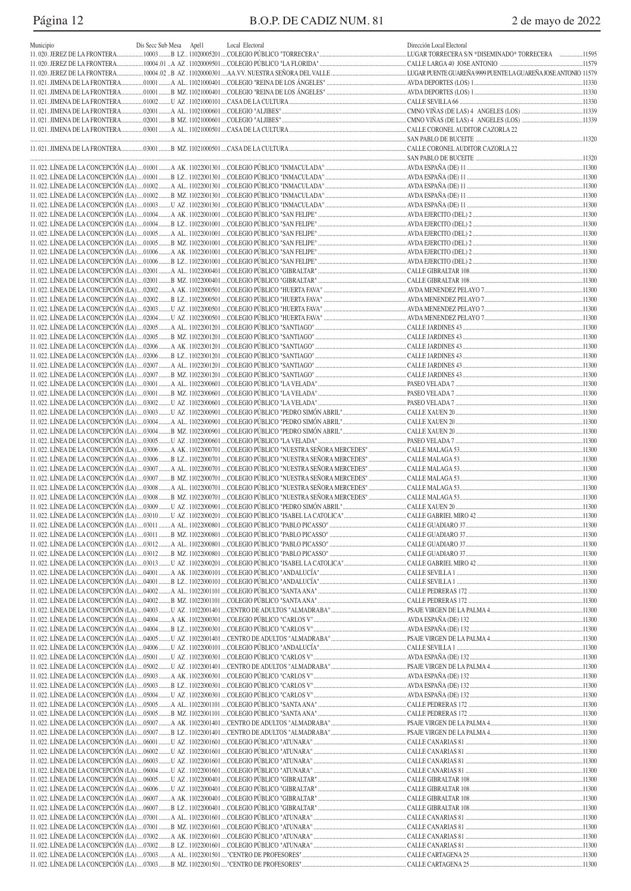# Página 12 B.O.P. DE CADIZ NUM. 81 2 de mayo de 2022

| Municipio | Dis Secc Sub Mesa Apell | Local Electoral | Dirección Local Electoral |  |
|-----------|-------------------------|-----------------|---------------------------|--|
|           |                         |                 |                           |  |
|           |                         |                 |                           |  |
|           |                         |                 |                           |  |
|           |                         |                 |                           |  |
|           |                         |                 |                           |  |
|           |                         |                 |                           |  |
|           |                         |                 |                           |  |
|           |                         |                 |                           |  |
|           |                         |                 |                           |  |
|           |                         |                 |                           |  |
|           |                         |                 |                           |  |
|           |                         |                 |                           |  |
|           |                         |                 |                           |  |
|           |                         |                 |                           |  |
|           |                         |                 |                           |  |
|           |                         |                 |                           |  |
|           |                         |                 |                           |  |
|           |                         |                 |                           |  |
|           |                         |                 |                           |  |
|           |                         |                 |                           |  |
|           |                         |                 |                           |  |
|           |                         |                 |                           |  |
|           |                         |                 |                           |  |
|           |                         |                 |                           |  |
|           |                         |                 |                           |  |
|           |                         |                 |                           |  |
|           |                         |                 |                           |  |
|           |                         |                 |                           |  |
|           |                         |                 |                           |  |
|           |                         |                 |                           |  |
|           |                         |                 |                           |  |
|           |                         |                 |                           |  |
|           |                         |                 |                           |  |
|           |                         |                 |                           |  |
|           |                         |                 |                           |  |
|           |                         |                 |                           |  |
|           |                         |                 |                           |  |
|           |                         |                 |                           |  |
|           |                         |                 |                           |  |
|           |                         |                 |                           |  |
|           |                         |                 |                           |  |
|           |                         |                 |                           |  |
|           |                         |                 |                           |  |
|           |                         |                 |                           |  |
|           |                         |                 |                           |  |
|           |                         |                 |                           |  |
|           |                         |                 |                           |  |
|           |                         |                 |                           |  |
|           |                         |                 |                           |  |
|           |                         |                 |                           |  |
|           |                         |                 |                           |  |
|           |                         |                 |                           |  |
|           |                         |                 |                           |  |
|           |                         |                 |                           |  |
|           |                         |                 |                           |  |
|           |                         |                 |                           |  |
|           |                         |                 |                           |  |
|           |                         |                 |                           |  |
|           |                         |                 |                           |  |
|           |                         |                 |                           |  |
|           |                         |                 |                           |  |
|           |                         |                 |                           |  |
|           |                         |                 |                           |  |
|           |                         |                 |                           |  |
|           |                         |                 |                           |  |
|           |                         |                 |                           |  |
|           |                         |                 |                           |  |
|           |                         |                 |                           |  |
|           |                         |                 |                           |  |
|           |                         |                 |                           |  |
|           |                         |                 |                           |  |
|           |                         |                 |                           |  |
|           |                         |                 |                           |  |
|           |                         |                 |                           |  |
|           |                         |                 |                           |  |
|           |                         |                 |                           |  |
|           |                         |                 |                           |  |
|           |                         |                 |                           |  |
|           |                         |                 |                           |  |
|           |                         |                 |                           |  |
|           |                         |                 |                           |  |
|           |                         |                 |                           |  |
|           |                         |                 |                           |  |
|           |                         |                 |                           |  |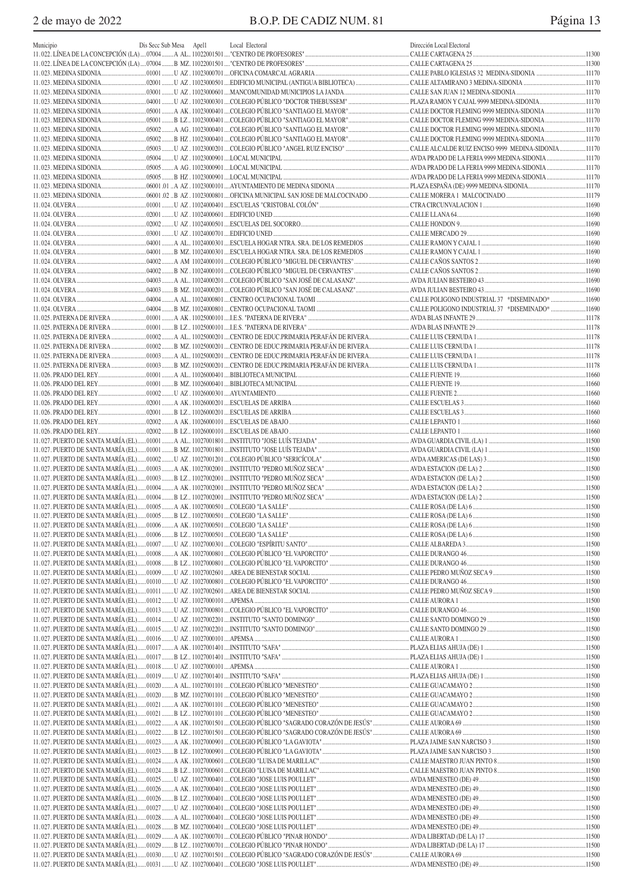| Municipio | Dis Secc Sub Mesa Apel1 | Local Electoral | Dirección Local Electoral |  |
|-----------|-------------------------|-----------------|---------------------------|--|
|           |                         |                 |                           |  |
|           |                         |                 |                           |  |
|           |                         |                 |                           |  |
|           |                         |                 |                           |  |
|           |                         |                 |                           |  |
|           |                         |                 |                           |  |
|           |                         |                 |                           |  |
|           |                         |                 |                           |  |
|           |                         |                 |                           |  |
|           |                         |                 |                           |  |
|           |                         |                 |                           |  |
|           |                         |                 |                           |  |
|           |                         |                 |                           |  |
|           |                         |                 |                           |  |
|           |                         |                 |                           |  |
|           |                         |                 |                           |  |
|           |                         |                 |                           |  |
|           |                         |                 |                           |  |
|           |                         |                 |                           |  |
|           |                         |                 |                           |  |
|           |                         |                 |                           |  |
|           |                         |                 |                           |  |
|           |                         |                 |                           |  |
|           |                         |                 |                           |  |
|           |                         |                 |                           |  |
|           |                         |                 |                           |  |
|           |                         |                 |                           |  |
|           |                         |                 |                           |  |
|           |                         |                 |                           |  |
|           |                         |                 |                           |  |
|           |                         |                 |                           |  |
|           |                         |                 |                           |  |
|           |                         |                 |                           |  |
|           |                         |                 |                           |  |
|           |                         |                 |                           |  |
|           |                         |                 |                           |  |
|           |                         |                 |                           |  |
|           |                         |                 |                           |  |
|           |                         |                 |                           |  |
|           |                         |                 |                           |  |
|           |                         |                 |                           |  |
|           |                         |                 |                           |  |
|           |                         |                 |                           |  |
|           |                         |                 |                           |  |
|           |                         |                 |                           |  |
|           |                         |                 |                           |  |
|           |                         |                 |                           |  |
|           |                         |                 |                           |  |
|           |                         |                 |                           |  |
|           |                         |                 |                           |  |
|           |                         |                 |                           |  |
|           |                         |                 |                           |  |
|           |                         |                 |                           |  |
|           |                         |                 |                           |  |
|           |                         |                 |                           |  |
|           |                         |                 |                           |  |
|           |                         |                 |                           |  |
|           |                         |                 |                           |  |
|           |                         |                 |                           |  |
|           |                         |                 |                           |  |
|           |                         |                 |                           |  |
|           |                         |                 |                           |  |
|           |                         |                 |                           |  |
|           |                         |                 |                           |  |
|           |                         |                 |                           |  |
|           |                         |                 |                           |  |
|           |                         |                 |                           |  |
|           |                         |                 |                           |  |
|           |                         |                 |                           |  |
|           |                         |                 |                           |  |
|           |                         |                 |                           |  |
|           |                         |                 |                           |  |
|           |                         |                 |                           |  |
|           |                         |                 |                           |  |
|           |                         |                 |                           |  |
|           |                         |                 |                           |  |
|           |                         |                 |                           |  |
|           |                         |                 |                           |  |
|           |                         |                 |                           |  |
|           |                         |                 |                           |  |
|           |                         |                 |                           |  |
|           |                         |                 |                           |  |
|           |                         |                 |                           |  |
|           |                         |                 |                           |  |
|           |                         |                 |                           |  |
|           |                         |                 |                           |  |
|           |                         |                 |                           |  |
|           |                         |                 |                           |  |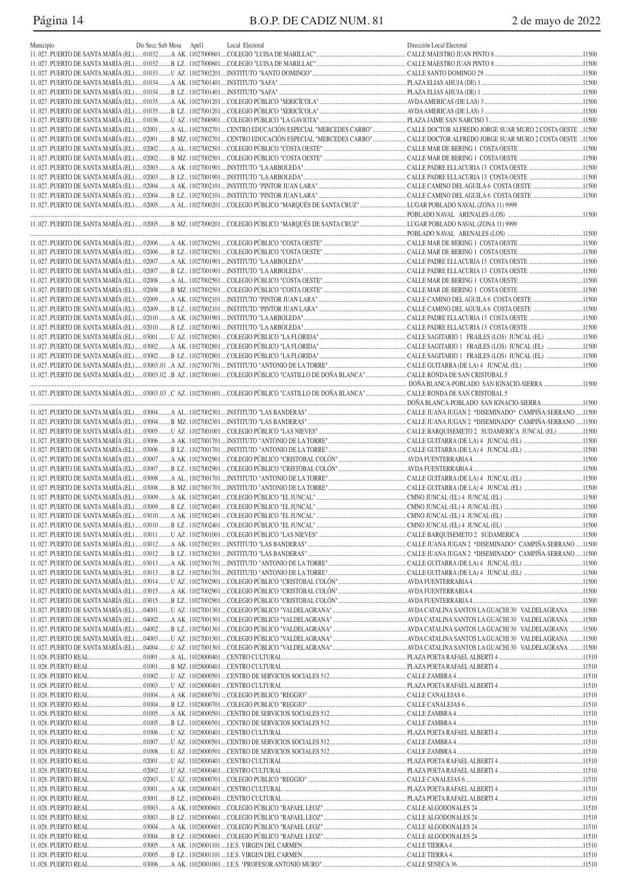# Página 14 B.O.P. DE CADIZ NUM. 81 2 de mayo de 2022

| Municipio | Dis Secc Sub Mesa Apel1 | Local Electoral | Dirección Local Electoral |  |
|-----------|-------------------------|-----------------|---------------------------|--|
|           |                         |                 |                           |  |
|           |                         |                 |                           |  |
|           |                         |                 |                           |  |
|           |                         |                 |                           |  |
|           |                         |                 |                           |  |
|           |                         |                 |                           |  |
|           |                         |                 |                           |  |
|           |                         |                 |                           |  |
|           |                         |                 |                           |  |
|           |                         |                 |                           |  |
|           |                         |                 |                           |  |
|           |                         |                 |                           |  |
|           |                         |                 |                           |  |
|           |                         |                 |                           |  |
|           |                         |                 |                           |  |
|           |                         |                 |                           |  |
|           |                         |                 |                           |  |
|           |                         |                 |                           |  |
|           |                         |                 |                           |  |
|           |                         |                 |                           |  |
|           |                         |                 |                           |  |
|           |                         |                 |                           |  |
|           |                         |                 |                           |  |
|           |                         |                 |                           |  |
|           |                         |                 |                           |  |
|           |                         |                 |                           |  |
|           |                         |                 |                           |  |
|           |                         |                 |                           |  |
|           |                         |                 |                           |  |
|           |                         |                 |                           |  |
|           |                         |                 |                           |  |
|           |                         |                 |                           |  |
|           |                         |                 |                           |  |
|           |                         |                 |                           |  |
|           |                         |                 |                           |  |
|           |                         |                 |                           |  |
|           |                         |                 |                           |  |
|           |                         |                 |                           |  |
|           |                         |                 |                           |  |
|           |                         |                 |                           |  |
|           |                         |                 |                           |  |
|           |                         |                 |                           |  |
|           |                         |                 |                           |  |
|           |                         |                 |                           |  |
|           |                         |                 |                           |  |
|           |                         |                 |                           |  |
|           |                         |                 |                           |  |
|           |                         |                 |                           |  |
|           |                         |                 |                           |  |
|           |                         |                 |                           |  |
|           |                         |                 |                           |  |
|           |                         |                 |                           |  |
|           |                         |                 |                           |  |
|           |                         |                 |                           |  |
|           |                         |                 |                           |  |
|           |                         |                 |                           |  |
|           |                         |                 |                           |  |
|           |                         |                 |                           |  |
|           |                         |                 |                           |  |
|           |                         |                 |                           |  |
|           |                         |                 |                           |  |
|           |                         |                 |                           |  |
|           |                         |                 |                           |  |
|           |                         |                 |                           |  |
|           |                         |                 |                           |  |
|           |                         |                 |                           |  |
|           |                         |                 |                           |  |
|           |                         |                 |                           |  |
|           |                         |                 |                           |  |
|           |                         |                 |                           |  |
|           |                         |                 |                           |  |
|           |                         |                 |                           |  |
|           |                         |                 |                           |  |
|           |                         |                 |                           |  |
|           |                         |                 |                           |  |
|           |                         |                 |                           |  |
|           |                         |                 |                           |  |
|           |                         |                 |                           |  |
|           |                         |                 |                           |  |
|           |                         |                 |                           |  |
|           |                         |                 |                           |  |
|           |                         |                 |                           |  |
|           |                         |                 |                           |  |
|           |                         |                 |                           |  |
|           |                         |                 |                           |  |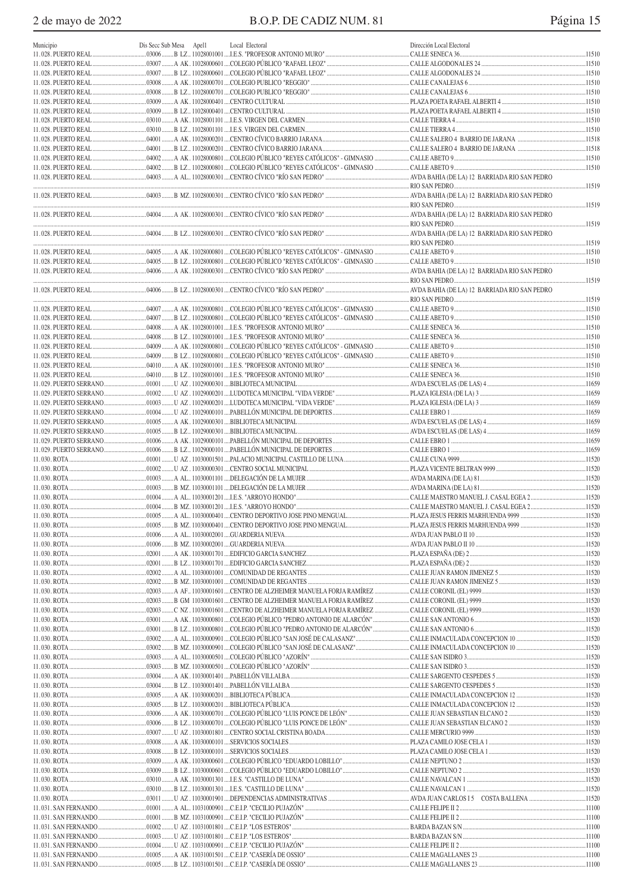2 de mayo de 2022

|                        |                         |                                                                                                                                | Dirección Local Electoral |  |
|------------------------|-------------------------|--------------------------------------------------------------------------------------------------------------------------------|---------------------------|--|
| Municipio              | Dis Secc Sub Mesa Apell | Local Electoral                                                                                                                |                           |  |
|                        |                         |                                                                                                                                |                           |  |
|                        |                         |                                                                                                                                |                           |  |
|                        |                         |                                                                                                                                |                           |  |
|                        |                         |                                                                                                                                |                           |  |
|                        |                         |                                                                                                                                |                           |  |
|                        |                         |                                                                                                                                |                           |  |
|                        |                         |                                                                                                                                |                           |  |
|                        |                         |                                                                                                                                |                           |  |
|                        |                         |                                                                                                                                |                           |  |
|                        |                         |                                                                                                                                |                           |  |
|                        |                         |                                                                                                                                |                           |  |
|                        |                         |                                                                                                                                |                           |  |
|                        |                         | …04002………B LZ…11028000801….COLEGIO PÚBLICO "REYES CATÓLICOS" - GIMNASIO ………………………CALLE ABETO 9………………………………………………………………………11510 |                           |  |
|                        |                         |                                                                                                                                |                           |  |
|                        |                         |                                                                                                                                |                           |  |
|                        |                         |                                                                                                                                |                           |  |
|                        |                         |                                                                                                                                |                           |  |
|                        |                         |                                                                                                                                |                           |  |
|                        |                         |                                                                                                                                |                           |  |
|                        |                         |                                                                                                                                |                           |  |
|                        |                         |                                                                                                                                |                           |  |
|                        |                         |                                                                                                                                |                           |  |
|                        |                         |                                                                                                                                |                           |  |
|                        |                         |                                                                                                                                |                           |  |
|                        |                         |                                                                                                                                |                           |  |
|                        |                         |                                                                                                                                |                           |  |
|                        |                         |                                                                                                                                |                           |  |
|                        |                         |                                                                                                                                |                           |  |
|                        |                         |                                                                                                                                |                           |  |
|                        |                         |                                                                                                                                |                           |  |
|                        |                         |                                                                                                                                |                           |  |
|                        |                         |                                                                                                                                |                           |  |
|                        |                         |                                                                                                                                |                           |  |
|                        |                         |                                                                                                                                |                           |  |
|                        |                         |                                                                                                                                |                           |  |
|                        |                         |                                                                                                                                |                           |  |
|                        |                         |                                                                                                                                |                           |  |
|                        |                         |                                                                                                                                |                           |  |
|                        |                         |                                                                                                                                |                           |  |
|                        |                         |                                                                                                                                |                           |  |
|                        |                         |                                                                                                                                |                           |  |
| 11.029. PUERTO SERRANO |                         |                                                                                                                                |                           |  |
| 11.029. PUERTO SERRANO |                         |                                                                                                                                |                           |  |
| 11.029. PUERTO SERRANO |                         |                                                                                                                                |                           |  |
| 11.029. PUERTO SERRANO |                         |                                                                                                                                |                           |  |
|                        |                         |                                                                                                                                |                           |  |
|                        |                         |                                                                                                                                |                           |  |
|                        |                         |                                                                                                                                |                           |  |
|                        |                         |                                                                                                                                |                           |  |
|                        |                         |                                                                                                                                |                           |  |
|                        |                         |                                                                                                                                |                           |  |
|                        |                         |                                                                                                                                |                           |  |
|                        |                         |                                                                                                                                |                           |  |
|                        |                         |                                                                                                                                |                           |  |
|                        |                         |                                                                                                                                |                           |  |
|                        |                         |                                                                                                                                |                           |  |
|                        |                         |                                                                                                                                |                           |  |
|                        |                         |                                                                                                                                |                           |  |
|                        |                         |                                                                                                                                |                           |  |
|                        |                         |                                                                                                                                |                           |  |
|                        |                         |                                                                                                                                |                           |  |
|                        |                         |                                                                                                                                |                           |  |
|                        |                         |                                                                                                                                |                           |  |
|                        |                         |                                                                                                                                |                           |  |
|                        |                         |                                                                                                                                |                           |  |
|                        |                         |                                                                                                                                |                           |  |
|                        |                         |                                                                                                                                |                           |  |
|                        |                         |                                                                                                                                |                           |  |
|                        |                         |                                                                                                                                |                           |  |
|                        |                         |                                                                                                                                |                           |  |
|                        |                         |                                                                                                                                |                           |  |
|                        |                         |                                                                                                                                |                           |  |
|                        |                         |                                                                                                                                |                           |  |
|                        |                         |                                                                                                                                |                           |  |
|                        |                         |                                                                                                                                |                           |  |
|                        |                         |                                                                                                                                |                           |  |
|                        |                         |                                                                                                                                |                           |  |
|                        |                         |                                                                                                                                |                           |  |
|                        |                         |                                                                                                                                |                           |  |
|                        |                         |                                                                                                                                |                           |  |
|                        |                         |                                                                                                                                |                           |  |
|                        |                         |                                                                                                                                |                           |  |
|                        |                         |                                                                                                                                |                           |  |
|                        |                         |                                                                                                                                |                           |  |
|                        |                         |                                                                                                                                |                           |  |
|                        |                         |                                                                                                                                |                           |  |
|                        |                         |                                                                                                                                |                           |  |
|                        |                         |                                                                                                                                |                           |  |
|                        |                         |                                                                                                                                |                           |  |
|                        |                         |                                                                                                                                |                           |  |
|                        |                         |                                                                                                                                |                           |  |
|                        |                         |                                                                                                                                |                           |  |
|                        |                         |                                                                                                                                |                           |  |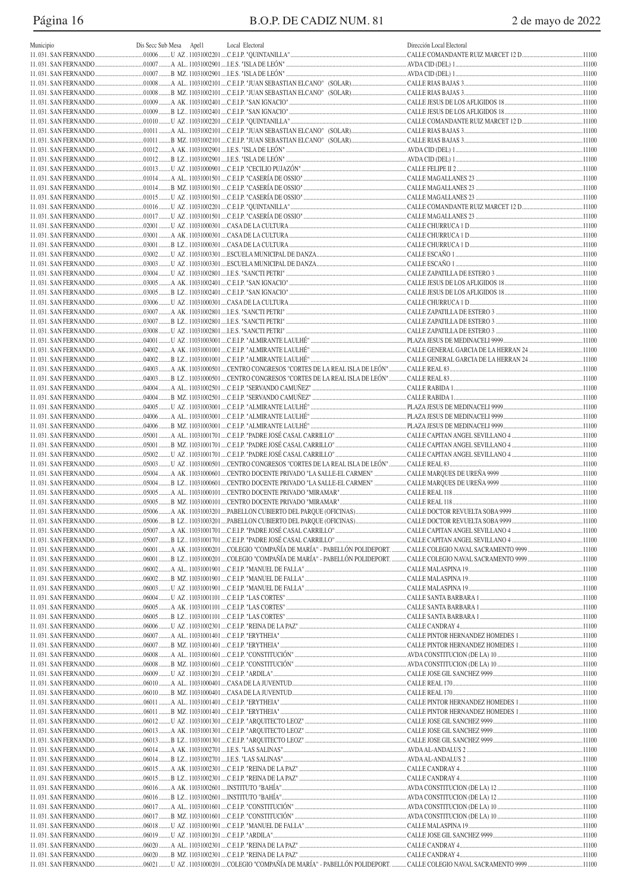# Página 16 B.O.P. DE CADIZ NUM. 81 2 de mayo de 2022

| Municipio | Dis Secc Sub Mesa | Apel1 | Local Electoral | Dirección Local Electoral |  |
|-----------|-------------------|-------|-----------------|---------------------------|--|
|           |                   |       |                 |                           |  |
|           |                   |       |                 |                           |  |
|           |                   |       |                 |                           |  |
|           |                   |       |                 |                           |  |
|           |                   |       |                 |                           |  |
|           |                   |       |                 |                           |  |
|           |                   |       |                 |                           |  |
|           |                   |       |                 |                           |  |
|           |                   |       |                 |                           |  |
|           |                   |       |                 |                           |  |
|           |                   |       |                 |                           |  |
|           |                   |       |                 |                           |  |
|           |                   |       |                 |                           |  |
|           |                   |       |                 |                           |  |
|           |                   |       |                 |                           |  |
|           |                   |       |                 |                           |  |
|           |                   |       |                 |                           |  |
|           |                   |       |                 |                           |  |
|           |                   |       |                 |                           |  |
|           |                   |       |                 |                           |  |
|           |                   |       |                 |                           |  |
|           |                   |       |                 |                           |  |
|           |                   |       |                 |                           |  |
|           |                   |       |                 |                           |  |
|           |                   |       |                 |                           |  |
|           |                   |       |                 |                           |  |
|           |                   |       |                 |                           |  |
|           |                   |       |                 |                           |  |
|           |                   |       |                 |                           |  |
|           |                   |       |                 |                           |  |
|           |                   |       |                 |                           |  |
|           |                   |       |                 |                           |  |
|           |                   |       |                 |                           |  |
|           |                   |       |                 |                           |  |
|           |                   |       |                 |                           |  |
|           |                   |       |                 |                           |  |
|           |                   |       |                 |                           |  |
|           |                   |       |                 |                           |  |
|           |                   |       |                 |                           |  |
|           |                   |       |                 |                           |  |
|           |                   |       |                 |                           |  |
|           |                   |       |                 |                           |  |
|           |                   |       |                 |                           |  |
|           |                   |       |                 |                           |  |
|           |                   |       |                 |                           |  |
|           |                   |       |                 |                           |  |
|           |                   |       |                 |                           |  |
|           |                   |       |                 |                           |  |
|           |                   |       |                 |                           |  |
|           |                   |       |                 |                           |  |
|           |                   |       |                 |                           |  |
|           |                   |       |                 |                           |  |
|           |                   |       |                 |                           |  |
|           |                   |       |                 |                           |  |
|           |                   |       |                 |                           |  |
|           |                   |       |                 |                           |  |
|           |                   |       |                 |                           |  |
|           |                   |       |                 |                           |  |
|           |                   |       |                 |                           |  |
|           |                   |       |                 |                           |  |
|           |                   |       |                 |                           |  |
|           |                   |       |                 |                           |  |
|           |                   |       |                 |                           |  |
|           |                   |       |                 |                           |  |
|           |                   |       |                 |                           |  |
|           |                   |       |                 |                           |  |
|           |                   |       |                 |                           |  |
|           |                   |       |                 |                           |  |
|           |                   |       |                 |                           |  |
|           |                   |       |                 |                           |  |
|           |                   |       |                 |                           |  |
|           |                   |       |                 |                           |  |
|           |                   |       |                 |                           |  |
|           |                   |       |                 |                           |  |
|           |                   |       |                 |                           |  |
|           |                   |       |                 |                           |  |
|           |                   |       |                 |                           |  |
|           |                   |       |                 |                           |  |
|           |                   |       |                 |                           |  |
|           |                   |       |                 |                           |  |
|           |                   |       |                 |                           |  |
|           |                   |       |                 |                           |  |
|           |                   |       |                 |                           |  |
|           |                   |       |                 |                           |  |
|           |                   |       |                 |                           |  |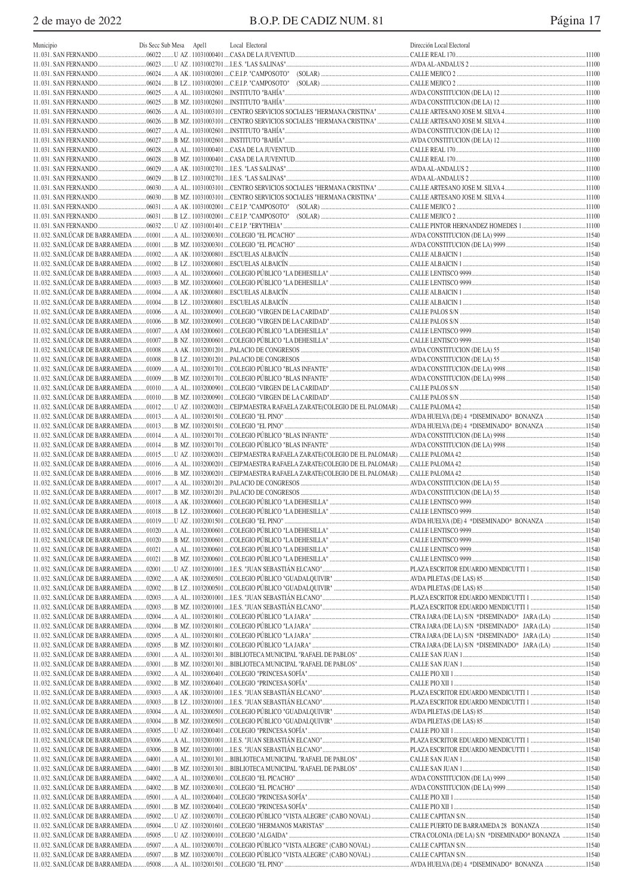| Municipio | Dis Secc Sub Mesa Apel1 | Local Electoral                             | Dirección Local Electoral |        |
|-----------|-------------------------|---------------------------------------------|---------------------------|--------|
|           |                         |                                             |                           |        |
|           |                         |                                             |                           |        |
|           |                         | 06024 A AK.11031002001 C.E.I.P. "CAMPOSOTO" |                           |        |
|           |                         |                                             |                           |        |
|           |                         |                                             |                           |        |
|           |                         |                                             |                           |        |
|           |                         |                                             |                           |        |
|           |                         |                                             |                           |        |
|           |                         |                                             |                           |        |
|           |                         |                                             |                           |        |
|           |                         |                                             |                           |        |
|           |                         |                                             |                           |        |
|           |                         |                                             |                           |        |
|           |                         |                                             |                           |        |
|           |                         |                                             |                           |        |
|           |                         |                                             |                           |        |
|           |                         |                                             |                           |        |
|           |                         |                                             |                           |        |
|           |                         |                                             |                           |        |
|           |                         |                                             |                           |        |
|           |                         |                                             |                           | .11540 |
|           |                         |                                             |                           | .11540 |
|           |                         |                                             |                           |        |
|           |                         |                                             |                           | .11540 |
|           |                         |                                             |                           |        |
|           |                         |                                             |                           | .11540 |
|           |                         |                                             |                           |        |
|           |                         |                                             |                           | .11540 |
|           |                         |                                             |                           |        |
|           |                         |                                             |                           | .11540 |
|           |                         |                                             |                           |        |
|           |                         |                                             |                           | .11540 |
|           |                         |                                             |                           |        |
|           |                         |                                             |                           | .11540 |
|           |                         |                                             |                           |        |
|           |                         |                                             |                           | .11540 |
|           |                         |                                             |                           |        |
|           |                         |                                             |                           |        |
|           |                         |                                             |                           |        |
|           |                         |                                             |                           | .11540 |
|           |                         |                                             |                           |        |
|           |                         |                                             |                           |        |
|           |                         |                                             |                           |        |
|           |                         |                                             |                           |        |
|           |                         |                                             |                           |        |
|           |                         |                                             |                           |        |
|           |                         |                                             |                           |        |
|           |                         |                                             |                           |        |
|           |                         |                                             |                           |        |
|           |                         |                                             |                           |        |
|           |                         |                                             |                           |        |
|           |                         |                                             |                           |        |
|           |                         |                                             |                           |        |
|           |                         |                                             |                           |        |
|           |                         |                                             |                           |        |
|           |                         |                                             |                           |        |
|           |                         |                                             |                           |        |
|           |                         |                                             |                           |        |
|           |                         |                                             |                           |        |
|           |                         |                                             |                           |        |
|           |                         |                                             |                           |        |
|           |                         |                                             |                           |        |
|           |                         |                                             |                           |        |
|           |                         |                                             |                           |        |
|           |                         |                                             |                           |        |
|           |                         |                                             |                           |        |
|           |                         |                                             |                           |        |
|           |                         |                                             |                           |        |
|           |                         |                                             |                           |        |
|           |                         |                                             |                           |        |
|           |                         |                                             |                           |        |
|           |                         |                                             |                           |        |
|           |                         |                                             |                           |        |
|           |                         |                                             |                           |        |
|           |                         |                                             |                           |        |
|           |                         |                                             |                           |        |
|           |                         |                                             |                           |        |
|           |                         |                                             |                           |        |
|           |                         |                                             |                           |        |
|           |                         |                                             |                           |        |
|           |                         |                                             |                           |        |
|           |                         |                                             |                           |        |
|           |                         |                                             |                           |        |
|           |                         |                                             |                           |        |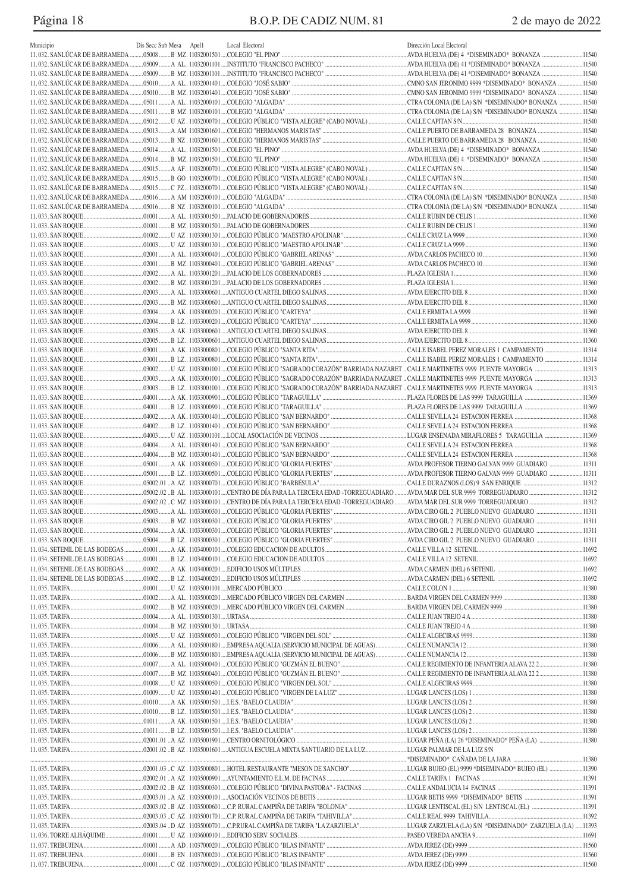# Página 18 B.O.P. DE CADIZ NUM. 81 2 de mayo de 2022

| Municipio | Dis Secc Sub Mesa | Apel1 | Local Electoral | Dirección Local Electoral |  |
|-----------|-------------------|-------|-----------------|---------------------------|--|
|           |                   |       |                 |                           |  |
|           |                   |       |                 |                           |  |
|           |                   |       |                 |                           |  |
|           |                   |       |                 |                           |  |
|           |                   |       |                 |                           |  |
|           |                   |       |                 |                           |  |
|           |                   |       |                 |                           |  |
|           |                   |       |                 |                           |  |
|           |                   |       |                 |                           |  |
|           |                   |       |                 |                           |  |
|           |                   |       |                 |                           |  |
|           |                   |       |                 |                           |  |
|           |                   |       |                 |                           |  |
|           |                   |       |                 |                           |  |
|           |                   |       |                 |                           |  |
|           |                   |       |                 |                           |  |
|           |                   |       |                 |                           |  |
|           |                   |       |                 |                           |  |
|           |                   |       |                 |                           |  |
|           |                   |       |                 |                           |  |
|           |                   |       |                 |                           |  |
|           |                   |       |                 |                           |  |
|           |                   |       |                 |                           |  |
|           |                   |       |                 |                           |  |
|           |                   |       |                 |                           |  |
|           |                   |       |                 |                           |  |
|           |                   |       |                 |                           |  |
|           |                   |       |                 |                           |  |
|           |                   |       |                 |                           |  |
|           |                   |       |                 |                           |  |
|           |                   |       |                 |                           |  |
|           |                   |       |                 |                           |  |
|           |                   |       |                 |                           |  |
|           |                   |       |                 |                           |  |
|           |                   |       |                 |                           |  |
|           |                   |       |                 |                           |  |
|           |                   |       |                 |                           |  |
|           |                   |       |                 |                           |  |
|           |                   |       |                 |                           |  |
|           |                   |       |                 |                           |  |
|           |                   |       |                 |                           |  |
|           |                   |       |                 |                           |  |
|           |                   |       |                 |                           |  |
|           |                   |       |                 |                           |  |
|           |                   |       |                 |                           |  |
|           |                   |       |                 |                           |  |
|           |                   |       |                 |                           |  |
|           |                   |       |                 |                           |  |
|           |                   |       |                 |                           |  |
|           |                   |       |                 |                           |  |
|           |                   |       |                 |                           |  |
|           |                   |       |                 |                           |  |
|           |                   |       |                 |                           |  |
|           |                   |       |                 |                           |  |
|           |                   |       |                 |                           |  |
|           |                   |       |                 |                           |  |
|           |                   |       |                 |                           |  |
|           |                   |       |                 |                           |  |
|           |                   |       |                 |                           |  |
|           |                   |       |                 |                           |  |
|           |                   |       |                 |                           |  |
|           |                   |       |                 |                           |  |
|           |                   |       |                 |                           |  |
|           |                   |       |                 |                           |  |
|           |                   |       |                 |                           |  |
|           |                   |       |                 |                           |  |
|           |                   |       |                 |                           |  |
|           |                   |       |                 |                           |  |
|           |                   |       |                 |                           |  |
|           |                   |       |                 |                           |  |
|           |                   |       |                 |                           |  |
|           |                   |       |                 |                           |  |
|           |                   |       |                 |                           |  |
|           |                   |       |                 |                           |  |
|           |                   |       |                 |                           |  |
|           |                   |       |                 |                           |  |
|           |                   |       |                 |                           |  |
|           |                   |       |                 |                           |  |
|           |                   |       |                 |                           |  |
|           |                   |       |                 |                           |  |
|           |                   |       |                 |                           |  |
|           |                   |       |                 |                           |  |
|           |                   |       |                 |                           |  |
|           |                   |       |                 |                           |  |
|           |                   |       |                 |                           |  |
|           |                   |       |                 |                           |  |
|           |                   |       |                 |                           |  |
|           |                   |       |                 |                           |  |
|           |                   |       |                 |                           |  |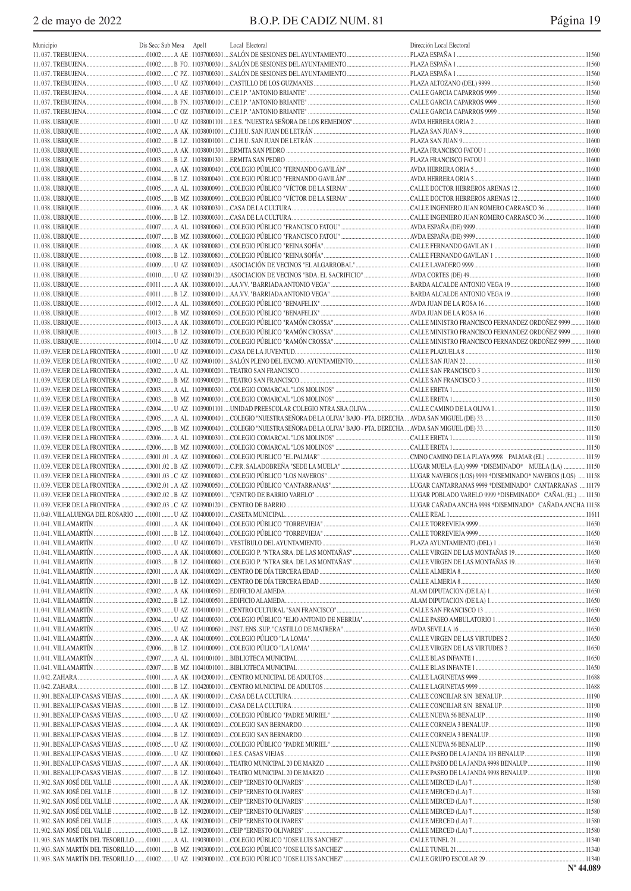|                              | Dis Secc Sub Mesa Apell |                                                                                                                           |                           |  |
|------------------------------|-------------------------|---------------------------------------------------------------------------------------------------------------------------|---------------------------|--|
| Municipio                    |                         | Local Electoral                                                                                                           | Dirección Local Electoral |  |
|                              |                         |                                                                                                                           |                           |  |
|                              |                         |                                                                                                                           |                           |  |
|                              |                         | …01002 …….C PZ…11037000301 …SALÓN DE SESIONES DEL AYUNTAMIENTO ………………………………………PLAZA ESPAÑA 1 ……………………………………………………………11560 |                           |  |
|                              |                         |                                                                                                                           |                           |  |
|                              |                         |                                                                                                                           |                           |  |
|                              |                         |                                                                                                                           |                           |  |
|                              |                         |                                                                                                                           |                           |  |
|                              |                         |                                                                                                                           |                           |  |
|                              |                         |                                                                                                                           |                           |  |
|                              |                         |                                                                                                                           |                           |  |
|                              |                         |                                                                                                                           |                           |  |
|                              |                         |                                                                                                                           |                           |  |
|                              |                         |                                                                                                                           |                           |  |
|                              |                         |                                                                                                                           |                           |  |
|                              |                         |                                                                                                                           |                           |  |
|                              |                         |                                                                                                                           |                           |  |
|                              |                         |                                                                                                                           |                           |  |
|                              |                         |                                                                                                                           |                           |  |
|                              |                         |                                                                                                                           |                           |  |
|                              |                         |                                                                                                                           |                           |  |
|                              |                         |                                                                                                                           |                           |  |
|                              |                         |                                                                                                                           |                           |  |
|                              |                         |                                                                                                                           |                           |  |
|                              |                         |                                                                                                                           |                           |  |
|                              |                         |                                                                                                                           |                           |  |
|                              |                         |                                                                                                                           |                           |  |
|                              |                         |                                                                                                                           |                           |  |
|                              |                         |                                                                                                                           |                           |  |
|                              |                         |                                                                                                                           |                           |  |
|                              |                         |                                                                                                                           |                           |  |
|                              |                         |                                                                                                                           |                           |  |
|                              |                         |                                                                                                                           |                           |  |
|                              |                         |                                                                                                                           |                           |  |
| 11.039. VEJER DE LA FRONTERA |                         |                                                                                                                           |                           |  |
| 11.039. VEJER DE LA FRONTERA |                         |                                                                                                                           |                           |  |
| 11.039. VEJER DE LA FRONTERA |                         |                                                                                                                           |                           |  |
|                              |                         |                                                                                                                           |                           |  |
| 11.039. VEJER DE LA FRONTERA |                         |                                                                                                                           |                           |  |
| 11.039. VEJER DE LA FRONTERA |                         |                                                                                                                           |                           |  |
| 11.039. VEJER DE LA FRONTERA |                         |                                                                                                                           |                           |  |
|                              |                         |                                                                                                                           |                           |  |
|                              |                         |                                                                                                                           |                           |  |
|                              |                         |                                                                                                                           |                           |  |
|                              |                         |                                                                                                                           |                           |  |
|                              |                         |                                                                                                                           |                           |  |
|                              |                         |                                                                                                                           |                           |  |
|                              |                         |                                                                                                                           |                           |  |
| 11.039. VEJER DE LA FRONTERA |                         |                                                                                                                           |                           |  |
| 11.039. VEJER DE LA FRONTERA |                         |                                                                                                                           |                           |  |
|                              |                         |                                                                                                                           |                           |  |
|                              |                         |                                                                                                                           |                           |  |
|                              |                         |                                                                                                                           |                           |  |
|                              |                         |                                                                                                                           |                           |  |
|                              |                         |                                                                                                                           |                           |  |
|                              |                         |                                                                                                                           |                           |  |
|                              |                         |                                                                                                                           |                           |  |
|                              |                         |                                                                                                                           |                           |  |
|                              |                         |                                                                                                                           |                           |  |
|                              |                         |                                                                                                                           |                           |  |
|                              |                         |                                                                                                                           |                           |  |
| 11.041. VILLAMARTÍN          |                         |                                                                                                                           |                           |  |
| 11.041. VILLAMARTÍN          |                         |                                                                                                                           |                           |  |
|                              |                         |                                                                                                                           |                           |  |
|                              |                         |                                                                                                                           |                           |  |
|                              |                         |                                                                                                                           |                           |  |
| 11.041. VILLAMARTÍN          |                         |                                                                                                                           |                           |  |
| 11.041. VILLAMARTÍN          |                         |                                                                                                                           |                           |  |
|                              |                         |                                                                                                                           |                           |  |
|                              |                         |                                                                                                                           |                           |  |
|                              |                         |                                                                                                                           |                           |  |
|                              |                         |                                                                                                                           |                           |  |
|                              |                         |                                                                                                                           |                           |  |
|                              |                         |                                                                                                                           |                           |  |
|                              |                         |                                                                                                                           |                           |  |
|                              |                         |                                                                                                                           |                           |  |
| 11.901. BENALUP-CASAS VIEJAS |                         |                                                                                                                           |                           |  |
| 11.901. BENALUP-CASAS VIEJAS |                         |                                                                                                                           |                           |  |
| 11.901. BENALUP-CASAS VIEJAS |                         |                                                                                                                           |                           |  |
| 11.902. SAN JOSÉ DEL VALLE   |                         |                                                                                                                           |                           |  |
| 11.902. SAN JOSÉ DEL VALLE   |                         |                                                                                                                           |                           |  |
| 11.902. SAN JOSÉ DEL VALLE   |                         |                                                                                                                           |                           |  |
| 11.902. SAN JOSÉ DEL VALLE   |                         |                                                                                                                           |                           |  |
|                              |                         |                                                                                                                           |                           |  |
|                              |                         |                                                                                                                           |                           |  |
|                              |                         |                                                                                                                           |                           |  |
|                              |                         |                                                                                                                           |                           |  |
|                              |                         |                                                                                                                           |                           |  |
|                              |                         |                                                                                                                           |                           |  |